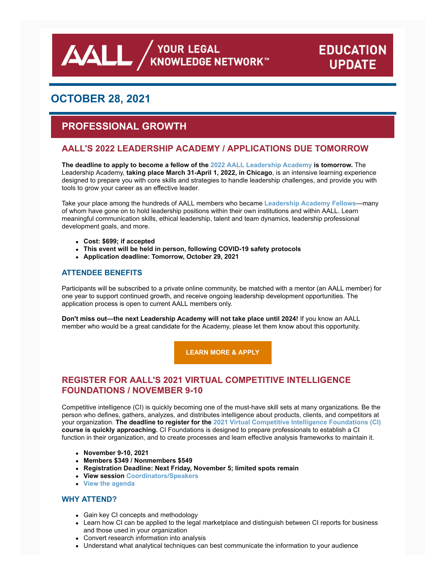**AALL** AND AND ARRIVE ALLE AND A KNOWLEDGE NETWORK

# **EDUCATION UPDATE**

# **OCTOBER 28, 2021**

# **PROFESSIONAL GROWTH**

# **AALL'S 2022 LEADERSHIP ACADEMY / APPLICATIONS DUE TOMORROW**

**The deadline to apply to become a fellow of the [2022 AALL Leadership Academy](https://www.aallnet.org/education-training/in-person-programs-seminars/leadership-academy/) is tomorrow.** The Leadership Academy, **taking place March 31-April 1, 2022, in Chicago**, is an intensive learning experience designed to prepare you with core skills and strategies to handle leadership challenges, and provide you with tools to grow your career as an effective leader.

Take your place among the hundreds of AALL members who became **[Leadership Academy Fellows](https://www.aallnet.org/education-training/in-person-programs-seminars/leadership-academy/#fellows)**—many of whom have gone on to hold leadership positions within their own institutions and within AALL. Learn meaningful communication skills, ethical leadership, talent and team dynamics, leadership professional development goals, and more.

- **Cost: \$699; if accepted**
- **This event will be held in person, following COVID-19 safety protocols**
- **Application deadline: Tomorrow, October 29, 2021**

### **ATTENDEE BENEFITS**

Participants will be subscribed to a private online community, be matched with a mentor (an AALL member) for one year to support continued growth, and receive ongoing leadership development opportunities. The application process is open to current AALL members only.

**Don't miss out—the next Leadership Academy will not take place until 2024!** If you know an AALL member who would be a great candidate for the Academy, please let them know about this opportunity.

**[LEARN MORE & APPLY](https://www.aallnet.org/education-training/in-person-programs-seminars/leadership-academy/)**

# **REGISTER FOR AALL'S 2021 VIRTUAL COMPETITIVE INTELLIGENCE FOUNDATIONS / NOVEMBER 9-10**

Competitive intelligence (CI) is quickly becoming one of the must-have skill sets at many organizations. Be the person who defines, gathers, analyzes, and distributes intelligence about products, clients, and competitors at your organization. **The deadline to register for the [2021 Virtual Competitive Intelligence Foundations \(CI\)](https://www.aallnet.org/education-training/in-person-programs-seminars/competitive-intelligence-series/ci-foundations/) course is quickly approaching.** CI Foundations is designed to prepare professionals to establish a CI function in their organization, and to create processes and learn effective analysis frameworks to maintain it.

- **November 9-10, 2021**
- **Members \$349 / Nonmembers \$549**
- **Registration Deadline: Next Friday, November 5; limited spots remain**
- **View session [Coordinators/Speakers](https://elearning.aallnet.org/products/aall-2021-virtual-competitive-intelligence-foundations#tab-product_tab_speaker_bios)**
- **[View the agenda](https://elearning.aallnet.org/products/aall-2021-virtual-competitive-intelligence-foundations#tab-product_tab_agenda)**

### **WHY ATTEND?**

- Gain key CI concepts and methodology
- Learn how CI can be applied to the legal marketplace and distinguish between CI reports for business and those used in your organization
- Convert research information into analysis
- Understand what analytical techniques can best communicate the information to your audience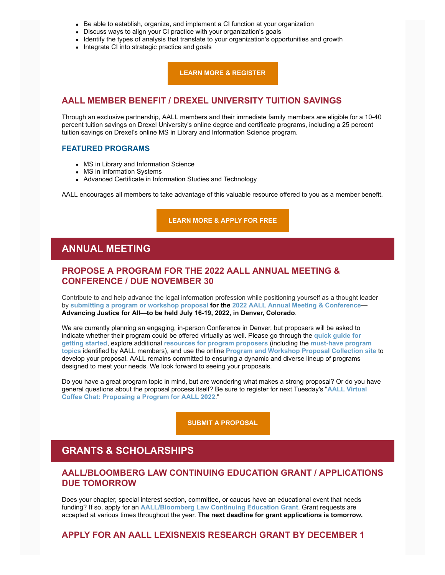- Be able to establish, organize, and implement a CI function at your organization
- Discuss ways to align your CI practice with your organization's goals
- Identify the types of analysis that translate to your organization's opportunities and growth
- Integrate CI into strategic practice and goals

**[LEARN MORE & REGISTER](https://elearning.aallnet.org/products/aall-2021-virtual-competitive-intelligence-foundations?utm_source=Website&utm_medium=Banner&utm_id=Website)**

### **AALL MEMBER BENEFIT / DREXEL UNIVERSITY TUITION SAVINGS**

Through an exclusive partnership, AALL members and their immediate family members are eligible for a 10-40 percent tuition savings on Drexel University's online degree and certificate programs, including a 25 percent tuition savings on Drexel's online MS in Library and Information Science program.

#### **FEATURED PROGRAMS**

- MS in Library and Information Science
- MS in Information Systems
- Advanced Certificate in Information Studies and Technology

AALL encourages all members to take advantage of this valuable resource offered to you as a member benefit.

#### **[LEARN MORE & APPLY FOR FREE](https://www.aallnet.org/careers/about-the-profession/education/drexeluniversity/)**

# **ANNUAL MEETING**

### **PROPOSE A PROGRAM FOR THE 2022 AALL ANNUAL MEETING & CONFERENCE / DUE NOVEMBER 30**

Contribute to and help advance the legal information profession while positioning yourself as a thought leader by **[submitting a program or workshop proposal](https://proposals.aallnet.org/) for the [2022 AALL Annual Meeting & Conference—](https://www.aallnet.org/conference/) Advancing Justice for All—to be held July 16-19, 2022, in Denver, Colorado**.

We are currently planning an engaging, in-person Conference in Denver, but proposers will be asked to [indicate whether their program could be offered virtually as well. Please go through the](https://www.aallnet.org/conference/resources/proposing-a-program/developing-a-great-proposal/) **quick guide for getting started**, explore additional **[resources for program proposers](https://www.aallnet.org/conference/resources/proposing-a-program/)** (including the **must-have program topics** identified by AALL members), and use the online **[Program and Workshop Proposal Collection si](https://www.aallnet.org/conference/resources/proposing-a-program/must-program-topics/)[te](https://proposals.aallnet.org/)** to develop your proposal. AALL remains committed to ensuring a dynamic and diverse lineup of programs designed to meet your needs. We look forward to seeing your proposals.

Do you have a great program topic in mind, but are wondering what makes a strong proposal? Or do you have [general questions about the proposal process itself? Be sure to register for next Tuesday's "](https://elearning.aallnet.org/products/virtual-coffee-chat-proposing-a-program-for-aall-2022)**AALL Virtual Coffee Chat: Proposing a Program for AALL 2022**."

**[SUBMIT A PROPOSAL](https://proposals.aallnet.org/)**

# **GRANTS & SCHOLARSHIPS**

### **AALL/BLOOMBERG LAW CONTINUING EDUCATION GRANT / APPLICATIONS DUE TOMORROW**

Does your chapter, special interest section, committee, or caucus have an educational event that needs funding? If so, apply for an **[AALL/Bloomberg Law Continuing Education Grant](https://www.aallnet.org/education-training/grants/cpe-program-grants/)**. Grant requests are accepted at various times throughout the year. **The next deadline for grant applications is tomorrow.**

**APPLY FOR AN AALL LEXISNEXIS RESEARCH GRANT BY DECEMBER 1**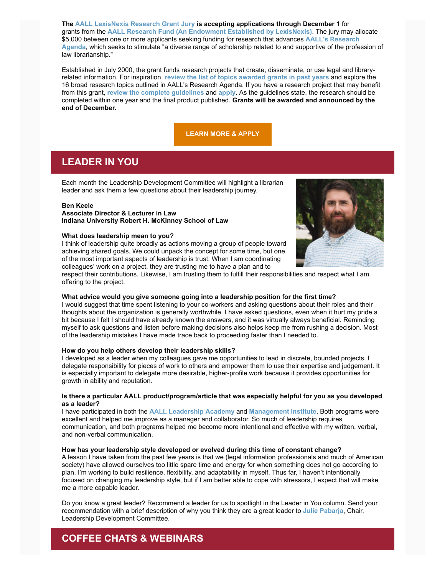**The [AALL LexisNexis Research Grant Jury](https://www.aallnet.org/about-us/who-we-are/committees-juries/lexisnexis-research-grant-jury/) is accepting applications through December 1** for grants from the **[AALL Research Fund \(An Endowment Established by LexisNexis\)](https://www.aallnet.org/education-training/grants/research-grants/)**. The jury may allocate \$5,000 between one or more applicants seeking funding for research that advances **AALL's Research Agenda**[, which seeks to stimulate "a diverse range of scholarship related to and supportive of the profe](https://www.aallnet.org/education-training/grants/research-grants/research-agenda/)ssion of law librarianship."

Established in July 2000, the grant funds research projects that create, disseminate, or use legal and libraryrelated information. For inspiration, **[review the list of topics awarded grants in past years](https://www.aallnet.org/education-training/grants/research-grants/)** and explore the 16 broad research topics outlined in AALL's Research Agenda. If you have a research project that may benefit from this grant, **[review the complete guidelines](https://www.aallnet.org/education-training/grants/research-grants/)** and **[apply](https://www.aallnet.org/wp-content/uploads/2021/10/aall-grant-researchfund.pdf)**. As the guidelines state, the research should be completed within one year and the final product published. **Grants will be awarded and announced by the end of December.**

#### **[LEARN MORE & APPLY](https://www.aallnet.org/education-training/grants/research-grants/)**

# **LEADER IN YOU**

Each month the Leadership Development Committee will highlight a librarian leader and ask them a few questions about their leadership journey.

#### **Ben Keele**

#### **Associate Director & Lecturer in Law Indiana University Robert H. McKinney School of Law**

#### **What does leadership mean to you?**

I think of leadership quite broadly as actions moving a group of people toward achieving shared goals. We could unpack the concept for some time, but one of the most important aspects of leadership is trust. When I am coordinating colleagues' work on a project, they are trusting me to have a plan and to



respect their contributions. Likewise, I am trusting them to fulfill their responsibilities and respect what I am offering to the project.

#### **What advice would you give someone going into a leadership position for the first time?**

I would suggest that time spent listening to your co-workers and asking questions about their roles and their thoughts about the organization is generally worthwhile. I have asked questions, even when it hurt my pride a bit because I felt I should have already known the answers, and it was virtually always beneficial. Reminding myself to ask questions and listen before making decisions also helps keep me from rushing a decision. Most of the leadership mistakes I have made trace back to proceeding faster than I needed to.

#### **How do you help others develop their leadership skills?**

I developed as a leader when my colleagues gave me opportunities to lead in discrete, bounded projects. I delegate responsibility for pieces of work to others and empower them to use their expertise and judgement. It is especially important to delegate more desirable, higher-profile work because it provides opportunities for growth in ability and reputation.

#### **Is there a particular AALL product/program/article that was especially helpful for you as you developed as a leader?**

I have participated in both the **[AALL Leadership Academy](https://www.aallnet.org/education-training/in-person-programs-seminars/leadership-academy/)** and **[Management Institute](https://www.aallnet.org/education-training/in-person-programs-seminars/management-institute/)**. Both programs were excellent and helped me improve as a manager and collaborator. So much of leadership requires communication, and both programs helped me become more intentional and effective with my written, verbal, and non-verbal communication.

#### **How has your leadership style developed or evolved during this time of constant change?**

A lesson I have taken from the past few years is that we (legal information professionals and much of American society) have allowed ourselves too little spare time and energy for when something does not go according to plan. I'm working to build resilience, flexibility, and adaptability in myself. Thus far, I haven't intentionally focused on changing my leadership style, but if I am better able to cope with stressors, I expect that will make me a more capable leader.

Do you know a great leader? Recommend a leader for us to spotlight in the Leader in You column. Send your recommendation with a brief description of why you think they are a great leader to **[Julie Pabarja](mailto:julie.pabarja@lw.com)**, Chair, Leadership Development Committee.

# **COFFEE CHATS & WEBINARS**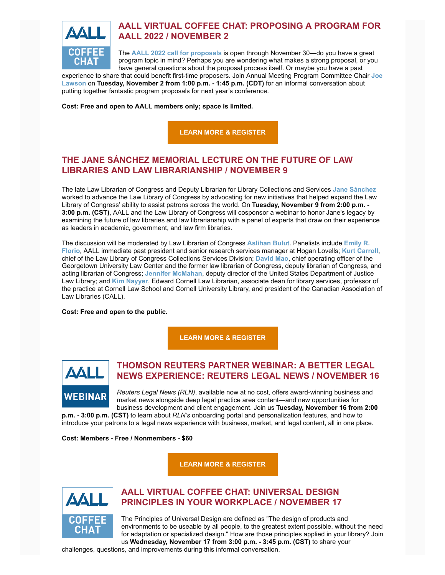

# **AALL VIRTUAL COFFEE CHAT: PROPOSING A PROGRAM FOR AALL 2022 / NOVEMBER 2**

The **[AALL 2022 call for proposals](https://www.aallnet.org/conference/resources/proposing-a-program/)** is open through November 30—do you have a great program topic in mind? Perhaps you are wondering what makes a strong proposal, or you have general questions about the proposal process itself. Or maybe you have a past

[experience to share that could benefit first-time proposers. Join Annual Meeting Program Committee Chair](https://www.aallnet.org/members_only/membership/IndividualFormPublicMembers/detail?id=2010017814F) **Joe Lawson** on **Tuesday, November 2 from 1:00 p.m. - 1:45 p.m. (CDT)** for an informal conversation about putting together fantastic program proposals for next year's conference.

**Cost: Free and open to AALL members only; space is limited.**

**[LEARN MORE & REGISTER](https://elearning.aallnet.org/products/virtual-coffee-chat-proposing-a-program-for-aall-2022)**

# **THE JANE SÁNCHEZ MEMORIAL LECTURE ON THE FUTURE OF LAW LIBRARIES AND LAW LIBRARIANSHIP / NOVEMBER 9**

The late Law Librarian of Congress and Deputy Librarian for Library Collections and Services **[Jane Sánchez](https://www.aallnet.org/wp-content/uploads/2018/04/SPECTRM_LEADER-PROFILE_MJ18.pdf)** worked to advance the Law Library of Congress by advocating for new initiatives that helped expand the Law Library of Congress' ability to assist patrons across the world. On **Tuesday, November 9 from 2:00 p.m. - 3:00 p.m. (CST)**, AALL and the Law Library of Congress will cosponsor a webinar to honor Jane's legacy by examining the future of law libraries and law librarianship with a panel of experts that draw on their experience as leaders in academic, government, and law firm libraries.

The discussion will be moderated by Law Librarian of Congress **[Aslihan Bulut](https://www.aallnet.org/members_only/membership/IndividualFormPublicMembers/detail?id=2010013B52A)**. Panelists include **Emily R. Florio**[, AALL immediate past president and senior research services manager at Hogan Lovells;](https://www.aallnet.org/members_only/membership/IndividualFormPublicMembers/detail?id=2010013FDDD) **[Kurt Carroll](https://www.aallnet.org/members_only/membership/IndividualFormPublicMembers/detail?id=2010015924D)**, chief of the Law Library of Congress Collections Services Division; **[David Mao](https://www.aallnet.org/members_only/membership/IndividualFormPublicMembers/detail?id=20100087051)**, chief operating officer of the Georgetown University Law Center and the former law librarian of Congress, deputy librarian of Congress, and acting librarian of Congress; **[Jennifer McMahan](https://www.aallnet.org/members_only/membership/IndividualFormPublicMembers/detail?id=2010015936F)**, deputy director of the United States Department of Justice Law Library; and **[Kim Nayyer](https://www.aallnet.org/members_only/membership/IndividualFormPublicMembers/detail?id=2010018B776)**, Edward Cornell Law Librarian, associate dean for library services, professor of the practice at Cornell Law School and Cornell University Library, and president of the Canadian Association of Law Libraries (CALL).

**Cost: Free and open to the public.**

**[LEARN MORE & REGISTER](https://loc.zoomgov.com/webinar/register/WN_WV--WcDKRpO-Q6L4NoGILA)**



# **THOMSON REUTERS PARTNER WEBINAR: A BETTER LEGAL NEWS EXPERIENCE: REUTERS LEGAL NEWS / NOVEMBER 16**

*Reuters Legal News (RLN)*, available now at no cost, offers award-winning business and market news alongside deep legal practice area content—and new opportunities for business development and client engagement. Join us **Tuesday, November 16 from 2:00**

**p.m. - 3:00 p.m. (CST)** to learn about *RLN's* onboarding portal and personalization features, and how to introduce your patrons to a legal news experience with business, market, and legal content, all in one place.

**Cost: Members - Free / Nonmembers - \$60**

**[LEARN MORE & REGISTER](https://elearning.aallnet.org/products/a-better-legal-news-experience-reuters-legal-news-thomson-reuters-partner-webinar)**



# **AALL VIRTUAL COFFEE CHAT: UNIVERSAL DESIGN PRINCIPLES IN YOUR WORKPLACE / NOVEMBER 17**

The Principles of Universal Design are defined as "The design of products and environments to be useable by all people, to the greatest extent possible, without the need for adaptation or specialized design." How are those principles applied in your library? Join us **Wednesday, November 17 from 3:00 p.m. - 3:45 p.m. (CST)** to share your

challenges, questions, and improvements during this informal conversation.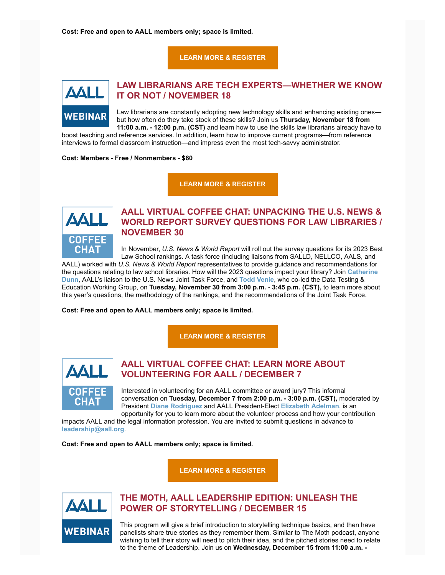**Cost: Free and open to AALL members only; space is limited.**

### **[LEARN MORE & REGISTER](https://elearning.aallnet.org/products/virtual-coffee-chat-universal-design-principles-in-your-workplace)**



### **LAW LIBRARIANS ARE TECH EXPERTS—WHETHER WE KNOW IT OR NOT / NOVEMBER 18**

Law librarians are constantly adopting new technology skills and enhancing existing ones but how often do they take stock of these skills? Join us **Thursday, November 18 from 11:00 a.m. - 12:00 p.m. (CST)** and learn how to use the skills law librarians already have to

boost teaching and reference services. In addition, learn how to improve current programs—from reference interviews to formal classroom instruction—and impress even the most tech-savvy administrator.

**Cost: Members - Free / Nonmembers - \$60**

**[LEARN MORE & REGISTER](https://elearning.aallnet.org/products/law-librarians-are-tech-expertswhether-we-know-it-or-not)**



# **AALL VIRTUAL COFFEE CHAT: UNPACKING THE U.S. NEWS & WORLD REPORT SURVEY QUESTIONS FOR LAW LIBRARIES / NOVEMBER 30**

In November, *U.S. News & World Report* will roll out the survey questions for its 2023 Best Law School rankings. A task force (including liaisons from SALLD, NELLCO, AALS, and

AALL) worked with *U.S. News & World Report* representatives to provide guidance and recommendations for [the questions relating to law school libraries. How will the 2023 questions impact your library?](https://www.aallnet.org/members_only/membership/IndividualFormPublicMembers/detail?id=20100146610) Join **Catherine Dunn**, AALL's liaison to the U.S. News Joint Task Force, and **[Todd Venie](https://www.aallnet.org/members_only/membership/IndividualFormPublicMembers/detail?id=2010015168B)**, who co-led the Data Testing & Education Working Group, on **Tuesday, November 30 from 3:00 p.m. - 3:45 p.m. (CST),** to learn more about this year's questions, the methodology of the rankings, and the recommendations of the Joint Task Force.

**Cost: Free and open to AALL members only; space is limited.**

**[LEARN MORE & REGISTER](https://elearning.aallnet.org/products/virtual-coffee-chat-unpacking-the-us-news-world-report-survey-questions-for-law-libraries)**



## **AALL VIRTUAL COFFEE CHAT: LEARN MORE ABOUT VOLUNTEERING FOR AALL / DECEMBER 7**

Interested in volunteering for an AALL committee or award jury? This informal conversation on **Tuesday, December 7 from 2:00 p.m. - 3:00 p.m. (CST),** moderated by President **[Diane Rodriguez](https://www.aallnet.org/members_only/membership/IndividualFormPublicMembers/detail?id=20100073E78)** and AALL President-Elect **[Elizabeth Adelman](https://www.aallnet.org/members_only/membership/IndividualFormPublicMembers/detail?id=2010010A8EE)**, is an opportunity for you to learn more about the volunteer process and how your contribution

impacts AALL and the legal information profession. You are invited to submit questions in advance to **[leadership@aall.org](mailto:leadership@aall.org)**.

**Cost: Free and open to AALL members only; space is limited.**

**[LEARN MORE & REGISTER](https://elearning.aallnet.org/products/virtual-coffee-chat-learn-more-about-volunteering-for-aall)**



# **THE MOTH, AALL LEADERSHIP EDITION: UNLEASH THE POWER OF STORYTELLING / DECEMBER 15**

This program will give a brief introduction to storytelling technique basics, and then have panelists share true stories as they remember them. Similar to The Moth podcast, anyone wishing to tell their story will need to pitch their idea, and the pitched stories need to relate to the theme of Leadership. Join us on **Wednesday, December 15 from 11:00 a.m. -**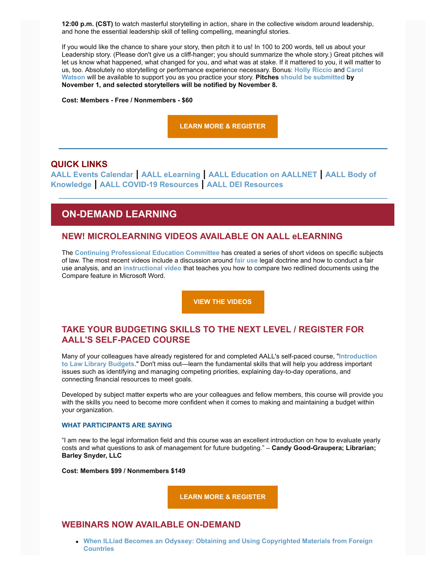**12:00 p.m. (CST)** to watch masterful storytelling in action, share in the collective wisdom around leadership, and hone the essential leadership skill of telling compelling, meaningful stories.

If you would like the chance to share your story, then pitch it to us! In 100 to 200 words, tell us about your Leadership story. (Please don't give us a cliff-hanger; you should summarize the whole story.) Great pitches will let us know what happened, what changed for you, and what was at stake. If it mattered to you, it will matter to us, too. Absolutely no storytelling or performance experience necessary. Bonus: **[Holly Riccio](https://www.aallnet.org/members_only/membership/IndividualFormPublicMembers/detail?id=20100046497)** and **[Carol](https://www.aallnet.org/members_only/membership/IndividualFormPublicMembers/detail?id=2010006275F) [Watson](https://www.aallnet.org/members_only/membership/IndividualFormPublicMembers/detail?id=2010006275F)** will be available to support you as you practice your story. **Pitches [should be submitted](https://ugeorgia.ca1.qualtrics.com/jfe/form/SV_8CvAlehki6gveJM) by November 1, and selected storytellers will be notified by November 8.**

**Cost: Members - Free / Nonmembers - \$60**

**[LEARN MORE & REGISTER](https://elearning.aallnet.org/products/the-moth-aall-leadership-edition-unleash-the-power-of-storytelling)**

### **QUICK LINKS**

**[AALL Events Calendar](https://www.aallnet.org/forms/MeetingCalendar/) | [AALL eLearning](https://elearning.aallnet.org/) | [AALL Education on AALLNET](https://www.aallnet.org/education-training/bok/) | AALL Body of Knowledge | [AALL COVID-19 Resources](https://www.aallnet.org/about-us/press-room/coronavirus/) | [AALL DEI Resources](https://www.aallnet.org/about-us/press-room/anti-racism-diversity-equity-inclusion/)**

# **ON-DEMAND LEARNING**

### **NEW! MICROLEARNING VIDEOS AVAILABLE ON AALL eLEARNING**

The **[Continuing Professional Education Committee](https://www.aallnet.org/about-us/who-we-are/committees-juries/continuing-professional-education-committee/)** has created a series of short videos on specific subjects of law. The most recent videos include a discussion around **[fair use](https://elearning.aallnet.org/products/aall-microlearning-video-series-fair-use)** legal doctrine and how to conduct a fair use analysis, and an **[instructional video](https://elearning.aallnet.org/products/aall-microlearning-video-series-comparing-redlined-versions-in-microsoft-word)** that teaches you how to compare two redlined documents using the Compare feature in Microsoft Word.

**[VIEW THE VIDEOS](https://elearning.aallnet.org/catalog#form_type=catalog-filter&page=1&webinar_type=0&product_type%5B%5D=2467&date%5Bstart%5D=&date%5Bend%5D=&keywords=&sort_by=new_to_old)**

## **TAKE YOUR BUDGETING SKILLS TO THE NEXT LEVEL / REGISTER FOR AALL'S SELF-PACED COURSE**

[Many of your colleagues have already registered for and completed AALL's self-paced course, "](https://elearning.aallnet.org/products/introduction-to-law-library-budgets-2)**Introduction to Law Library Budgets**." Don't miss out—learn the fundamental skills that will help you address important issues such as identifying and managing competing priorities, explaining day-to-day operations, and connecting financial resources to meet goals.

Developed by subject matter experts who are your colleagues and fellow members, this course will provide you with the skills you need to become more confident when it comes to making and maintaining a budget within your organization.

### **WHAT PARTICIPANTS ARE SAYING**

"I am new to the legal information field and this course was an excellent introduction on how to evaluate yearly costs and what questions to ask of management for future budgeting." – **Candy Good-Graupera; Librarian; Barley Snyder, LLC**

**Cost: Members \$99 / Nonmembers \$149**

**[LEARN MORE & REGISTER](https://elearning.aallnet.org/products/introduction-to-law-library-budgets-2)**

### **WEBINARS NOW AVAILABLE ON-DEMAND**

**[When ILLiad Becomes an Odyssey: Obtaining and Using Copyrighted Materials from Foreign](https://elearning.aallnet.org/products/when-illiad-becomes-an-odyssey-obtaining-and-using-copyrighted-materials-from-foreign-countries) Countries**